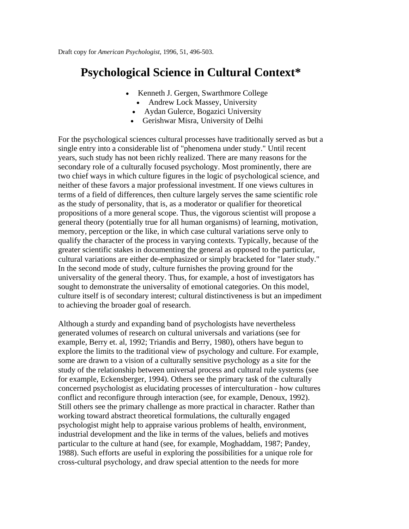# **Psychological Science in Cultural Context\***

- Kenneth J. Gergen, Swarthmore College
	- Andrew Lock Massey, University
	- Aydan Gulerce, Bogazici University
	- Gerishwar Misra, University of Delhi

For the psychological sciences cultural processes have traditionally served as but a single entry into a considerable list of "phenomena under study." Until recent years, such study has not been richly realized. There are many reasons for the secondary role of a culturally focused psychology. Most prominently, there are two chief ways in which culture figures in the logic of psychological science, and neither of these favors a major professional investment. If one views cultures in terms of a field of differences, then culture largely serves the same scientific role as the study of personality, that is, as a moderator or qualifier for theoretical propositions of a more general scope. Thus, the vigorous scientist will propose a general theory (potentially true for all human organisms) of learning, motivation, memory, perception or the like, in which case cultural variations serve only to qualify the character of the process in varying contexts. Typically, because of the greater scientific stakes in documenting the general as opposed to the particular, cultural variations are either de-emphasized or simply bracketed for "later study." In the second mode of study, culture furnishes the proving ground for the universality of the general theory. Thus, for example, a host of investigators has sought to demonstrate the universality of emotional categories. On this model, culture itself is of secondary interest; cultural distinctiveness is but an impediment to achieving the broader goal of research.

Although a sturdy and expanding band of psychologists have nevertheless generated volumes of research on cultural universals and variations (see for example, Berry et. al, 1992; Triandis and Berry, 1980), others have begun to explore the limits to the traditional view of psychology and culture. For example, some are drawn to a vision of a culturally sensitive psychology as a site for the study of the relationship between universal process and cultural rule systems (see for example, Eckensberger, 1994). Others see the primary task of the culturally concerned psychologist as elucidating processes of interculturation - how cultures conflict and reconfigure through interaction (see, for example, Denoux, 1992). Still others see the primary challenge as more practical in character. Rather than working toward abstract theoretical formulations, the culturally engaged psychologist might help to appraise various problems of health, environment, industrial development and the like in terms of the values, beliefs and motives particular to the culture at hand (see, for example, Moghaddam, 1987; Pandey, 1988). Such efforts are useful in exploring the possibilities for a unique role for cross-cultural psychology, and draw special attention to the needs for more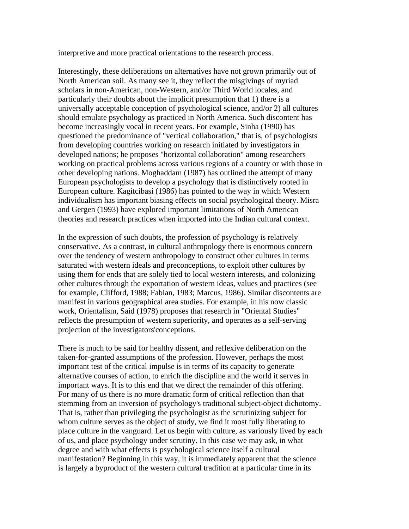interpretive and more practical orientations to the research process.

Interestingly, these deliberations on alternatives have not grown primarily out of North American soil. As many see it, they reflect the misgivings of myriad scholars in non-American, non-Western, and/or Third World locales, and particularly their doubts about the implicit presumption that 1) there is a universally acceptable conception of psychological science, and/or 2) all cultures should emulate psychology as practiced in North America. Such discontent has become increasingly vocal in recent years. For example, Sinha (1990) has questioned the predominance of "vertical collaboration," that is, of psychologists from developing countries working on research initiated by investigators in developed nations; he proposes "horizontal collaboration" among researchers working on practical problems across various regions of a country or with those in other developing nations. Moghaddam (1987) has outlined the attempt of many European psychologists to develop a psychology that is distinctively rooted in European culture. Kagitcibasi (1986) has pointed to the way in which Western individualism has important biasing effects on social psychological theory. Misra and Gergen (1993) have explored important limitations of North American theories and research practices when imported into the Indian cultural context.

In the expression of such doubts, the profession of psychology is relatively conservative. As a contrast, in cultural anthropology there is enormous concern over the tendency of western anthropology to construct other cultures in terms saturated with western ideals and preconceptions, to exploit other cultures by using them for ends that are solely tied to local western interests, and colonizing other cultures through the exportation of western ideas, values and practices (see for example, Clifford, 1988; Fabian, 1983; Marcus, 1986). Similar discontents are manifest in various geographical area studies. For example, in his now classic work, Orientalism, Said (1978) proposes that research in "Oriental Studies" reflects the presumption of western superiority, and operates as a self-serving projection of the investigators'conceptions.

There is much to be said for healthy dissent, and reflexive deliberation on the taken-for-granted assumptions of the profession. However, perhaps the most important test of the critical impulse is in terms of its capacity to generate alternative courses of action, to enrich the discipline and the world it serves in important ways. It is to this end that we direct the remainder of this offering. For many of us there is no more dramatic form of critical reflection than that stemming from an inversion of psychology's traditional subject-object dichotomy. That is, rather than privileging the psychologist as the scrutinizing subject for whom culture serves as the object of study, we find it most fully liberating to place culture in the vanguard. Let us begin with culture, as variously lived by each of us, and place psychology under scrutiny. In this case we may ask, in what degree and with what effects is psychological science itself a cultural manifestation? Beginning in this way, it is immediately apparent that the science is largely a byproduct of the western cultural tradition at a particular time in its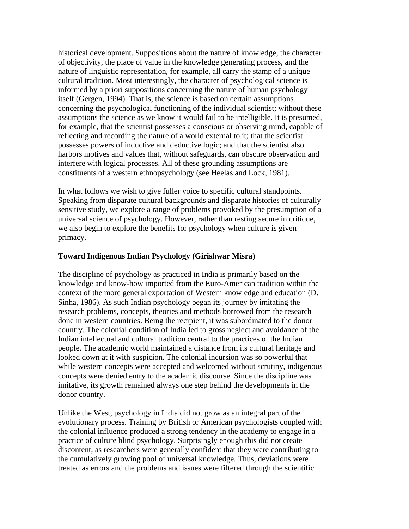historical development. Suppositions about the nature of knowledge, the character of objectivity, the place of value in the knowledge generating process, and the nature of linguistic representation, for example, all carry the stamp of a unique cultural tradition. Most interestingly, the character of psychological science is informed by a priori suppositions concerning the nature of human psychology itself (Gergen, 1994). That is, the science is based on certain assumptions concerning the psychological functioning of the individual scientist; without these assumptions the science as we know it would fail to be intelligible. It is presumed, for example, that the scientist possesses a conscious or observing mind, capable of reflecting and recording the nature of a world external to it; that the scientist possesses powers of inductive and deductive logic; and that the scientist also harbors motives and values that, without safeguards, can obscure observation and interfere with logical processes. All of these grounding assumptions are constituents of a western ethnopsychology (see Heelas and Lock, 1981).

In what follows we wish to give fuller voice to specific cultural standpoints. Speaking from disparate cultural backgrounds and disparate histories of culturally sensitive study, we explore a range of problems provoked by the presumption of a universal science of psychology. However, rather than resting secure in critique, we also begin to explore the benefits for psychology when culture is given primacy.

### **Toward Indigenous Indian Psychology (Girishwar Misra)**

The discipline of psychology as practiced in India is primarily based on the knowledge and know-how imported from the Euro-American tradition within the context of the more general exportation of Western knowledge and education (D. Sinha, 1986). As such Indian psychology began its journey by imitating the research problems, concepts, theories and methods borrowed from the research done in western countries. Being the recipient, it was subordinated to the donor country. The colonial condition of India led to gross neglect and avoidance of the Indian intellectual and cultural tradition central to the practices of the Indian people. The academic world maintained a distance from its cultural heritage and looked down at it with suspicion. The colonial incursion was so powerful that while western concepts were accepted and welcomed without scrutiny, indigenous concepts were denied entry to the academic discourse. Since the discipline was imitative, its growth remained always one step behind the developments in the donor country.

Unlike the West, psychology in India did not grow as an integral part of the evolutionary process. Training by British or American psychologists coupled with the colonial influence produced a strong tendency in the academy to engage in a practice of culture blind psychology. Surprisingly enough this did not create discontent, as researchers were generally confident that they were contributing to the cumulatively growing pool of universal knowledge. Thus, deviations were treated as errors and the problems and issues were filtered through the scientific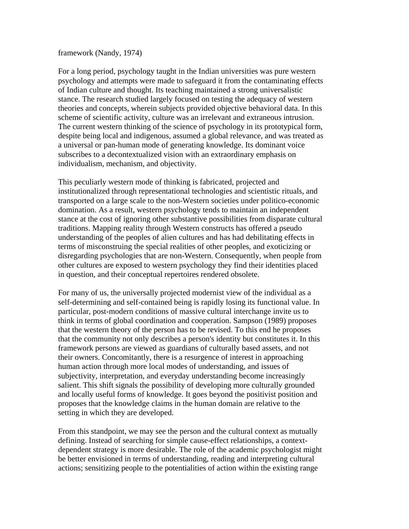#### framework (Nandy, 1974)

For a long period, psychology taught in the Indian universities was pure western psychology and attempts were made to safeguard it from the contaminating effects of Indian culture and thought. Its teaching maintained a strong universalistic stance. The research studied largely focused on testing the adequacy of western theories and concepts, wherein subjects provided objective behavioral data. In this scheme of scientific activity, culture was an irrelevant and extraneous intrusion. The current western thinking of the science of psychology in its prototypical form, despite being local and indigenous, assumed a global relevance, and was treated as a universal or pan-human mode of generating knowledge. Its dominant voice subscribes to a decontextualized vision with an extraordinary emphasis on individualism, mechanism, and objectivity.

This peculiarly western mode of thinking is fabricated, projected and institutionalized through representational technologies and scientistic rituals, and transported on a large scale to the non-Western societies under politico-economic domination. As a result, western psychology tends to maintain an independent stance at the cost of ignoring other substantive possibilities from disparate cultural traditions. Mapping reality through Western constructs has offered a pseudo understanding of the peoples of alien cultures and has had debilitating effects in terms of misconstruing the special realities of other peoples, and exoticizing or disregarding psychologies that are non-Western. Consequently, when people from other cultures are exposed to western psychology they find their identities placed in question, and their conceptual repertoires rendered obsolete.

For many of us, the universally projected modernist view of the individual as a self-determining and self-contained being is rapidly losing its functional value. In particular, post-modern conditions of massive cultural interchange invite us to think in terms of global coordination and cooperation. Sampson (1989) proposes that the western theory of the person has to be revised. To this end he proposes that the community not only describes a person's identity but constitutes it. In this framework persons are viewed as guardians of culturally based assets, and not their owners. Concomitantly, there is a resurgence of interest in approaching human action through more local modes of understanding, and issues of subjectivity, interpretation, and everyday understanding become increasingly salient. This shift signals the possibility of developing more culturally grounded and locally useful forms of knowledge. It goes beyond the positivist position and proposes that the knowledge claims in the human domain are relative to the setting in which they are developed.

From this standpoint, we may see the person and the cultural context as mutually defining. Instead of searching for simple cause-effect relationships, a contextdependent strategy is more desirable. The role of the academic psychologist might be better envisioned in terms of understanding, reading and interpreting cultural actions; sensitizing people to the potentialities of action within the existing range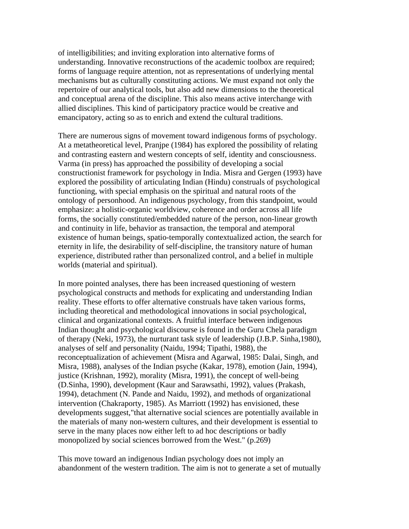of intelligibilities; and inviting exploration into alternative forms of understanding. Innovative reconstructions of the academic toolbox are required; forms of language require attention, not as representations of underlying mental mechanisms but as culturally constituting actions. We must expand not only the repertoire of our analytical tools, but also add new dimensions to the theoretical and conceptual arena of the discipline. This also means active interchange with allied disciplines. This kind of participatory practice would be creative and emancipatory, acting so as to enrich and extend the cultural traditions.

There are numerous signs of movement toward indigenous forms of psychology. At a metatheoretical level, Pranjpe (1984) has explored the possibility of relating and contrasting eastern and western concepts of self, identity and consciousness. Varma (in press) has approached the possibility of developing a social constructionist framework for psychology in India. Misra and Gergen (1993) have explored the possibility of articulating Indian (Hindu) construals of psychological functioning, with special emphasis on the spiritual and natural roots of the ontology of personhood. An indigenous psychology, from this standpoint, would emphasize: a holistic-organic worldview, coherence and order across all life forms, the socially constituted/embedded nature of the person, non-linear growth and continuity in life, behavior as transaction, the temporal and atemporal existence of human beings, spatio-temporally contextualized action, the search for eternity in life, the desirability of self-discipline, the transitory nature of human experience, distributed rather than personalized control, and a belief in multiple worlds (material and spiritual).

In more pointed analyses, there has been increased questioning of western psychological constructs and methods for explicating and understanding Indian reality. These efforts to offer alternative construals have taken various forms, including theoretical and methodological innovations in social psychological, clinical and organizational contexts. A fruitful interface between indigenous Indian thought and psychological discourse is found in the Guru Chela paradigm of therapy (Neki, 1973), the nurturant task style of leadership (J.B.P. Sinha,1980), analyses of self and personality (Naidu, 1994; Tipathi, 1988), the reconceptualization of achievement (Misra and Agarwal, 1985: Dalai, Singh, and Misra, 1988), analyses of the Indian psyche (Kakar, 1978), emotion (Jain, 1994), justice (Krishnan, 1992), morality (Misra, 1991), the concept of well-being (D.Sinha, 1990), development (Kaur and Sarawsathi, 1992), values (Prakash, 1994), detachment (N. Pande and Naidu, 1992), and methods of organizational intervention (Chakraporty, 1985). As Marriott (1992) has envisioned, these developments suggest,"that alternative social sciences are potentially available in the materials of many non-western cultures, and their development is essential to serve in the many places now either left to ad hoc descriptions or badly monopolized by social sciences borrowed from the West." (p.269)

This move toward an indigenous Indian psychology does not imply an abandonment of the western tradition. The aim is not to generate a set of mutually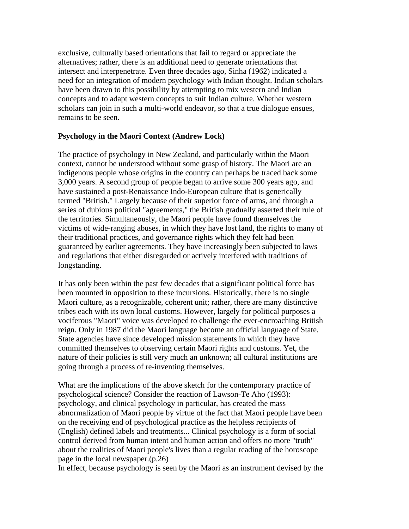exclusive, culturally based orientations that fail to regard or appreciate the alternatives; rather, there is an additional need to generate orientations that intersect and interpenetrate. Even three decades ago, Sinha (1962) indicated a need for an integration of modern psychology with Indian thought. Indian scholars have been drawn to this possibility by attempting to mix western and Indian concepts and to adapt western concepts to suit Indian culture. Whether western scholars can join in such a multi-world endeavor, so that a true dialogue ensues, remains to be seen.

### **Psychology in the Maori Context (Andrew Lock)**

The practice of psychology in New Zealand, and particularly within the Maori context, cannot be understood without some grasp of history. The Maori are an indigenous people whose origins in the country can perhaps be traced back some 3,000 years. A second group of people began to arrive some 300 years ago, and have sustained a post-Renaissance Indo-European culture that is generically termed "British." Largely because of their superior force of arms, and through a series of dubious political "agreements," the British gradually asserted their rule of the territories. Simultaneously, the Maori people have found themselves the victims of wide-ranging abuses, in which they have lost land, the rights to many of their traditional practices, and governance rights which they felt had been guaranteed by earlier agreements. They have increasingly been subjected to laws and regulations that either disregarded or actively interfered with traditions of longstanding.

It has only been within the past few decades that a significant political force has been mounted in opposition to these incursions. Historically, there is no single Maori culture, as a recognizable, coherent unit; rather, there are many distinctive tribes each with its own local customs. However, largely for political purposes a vociferous "Maori" voice was developed to challenge the ever-encroaching British reign. Only in 1987 did the Maori language become an official language of State. State agencies have since developed mission statements in which they have committed themselves to observing certain Maori rights and customs. Yet, the nature of their policies is still very much an unknown; all cultural institutions are going through a process of re-inventing themselves.

What are the implications of the above sketch for the contemporary practice of psychological science? Consider the reaction of Lawson-Te Aho (1993): psychology, and clinical psychology in particular, has created the mass abnormalization of Maori people by virtue of the fact that Maori people have been on the receiving end of psychological practice as the helpless recipients of (English) defined labels and treatments... Clinical psychology is a form of social control derived from human intent and human action and offers no more "truth" about the realities of Maori people's lives than a regular reading of the horoscope page in the local newspaper.(p.26)

In effect, because psychology is seen by the Maori as an instrument devised by the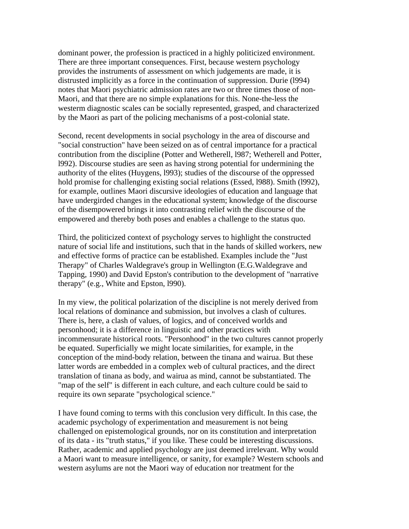dominant power, the profession is practiced in a highly politicized environment. There are three important consequences. First, because western psychology provides the instruments of assessment on which judgements are made, it is distrusted implicitly as a force in the continuation of suppression. Durie (l994) notes that Maori psychiatric admission rates are two or three times those of non-Maori, and that there are no simple explanations for this. None-the-less the westerm diagnostic scales can be socially represented, grasped, and characterized by the Maori as part of the policing mechanisms of a post-colonial state.

Second, recent developments in social psychology in the area of discourse and "social construction" have been seized on as of central importance for a practical contribution from the discipline (Potter and Wetherell, l987; Wetherell and Potter, l992). Discourse studies are seen as having strong potential for undermining the authority of the elites (Huygens, l993); studies of the discourse of the oppressed hold promise for challenging existing social relations (Essed, l988). Smith (l992), for example, outlines Maori discursive ideologies of education and language that have undergirded changes in the educational system; knowledge of the discourse of the disempowered brings it into contrasting relief with the discourse of the empowered and thereby both poses and enables a challenge to the status quo.

Third, the politicized context of psychology serves to highlight the constructed nature of social life and institutions, such that in the hands of skilled workers, new and effective forms of practice can be established. Examples include the "Just Therapy" of Charles Waldegrave's group in Wellington (E.G.Waldegrave and Tapping, 1990) and David Epston's contribution to the development of "narrative therapy" (e.g., White and Epston, l990).

In my view, the political polarization of the discipline is not merely derived from local relations of dominance and submission, but involves a clash of cultures. There is, here, a clash of values, of logics, and of conceived worlds and personhood; it is a difference in linguistic and other practices with incommensurate historical roots. "Personhood" in the two cultures cannot properly be equated. Superficially we might locate similarities, for example, in the conception of the mind-body relation, between the tinana and wairua. But these latter words are embedded in a complex web of cultural practices, and the direct translation of tinana as body, and wairua as mind, cannot be substantiated. The "map of the self" is different in each culture, and each culture could be said to require its own separate "psychological science."

I have found coming to terms with this conclusion very difficult. In this case, the academic psychology of experimentation and measurement is not being challenged on epistemological grounds, nor on its constitution and interpretation of its data - its "truth status," if you like. These could be interesting discussions. Rather, academic and applied psychology are just deemed irrelevant. Why would a Maori want to measure intelligence, or sanity, for example? Western schools and western asylums are not the Maori way of education nor treatment for the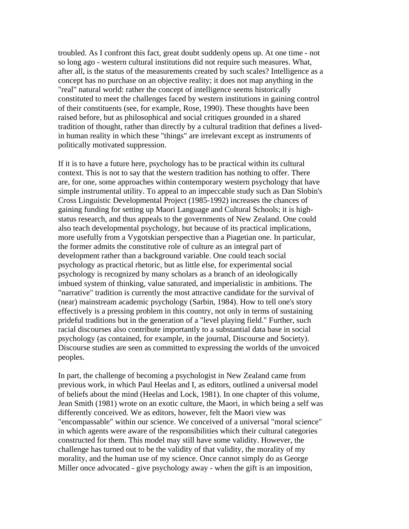troubled. As I confront this fact, great doubt suddenly opens up. At one time - not so long ago - western cultural institutions did not require such measures. What, after all, is the status of the measurements created by such scales? Intelligence as a concept has no purchase on an objective reality; it does not map anything in the "real" natural world: rather the concept of intelligence seems historically constituted to meet the challenges faced by western institutions in gaining control of their constituents (see, for example, Rose, 1990). These thoughts have been raised before, but as philosophical and social critiques grounded in a shared tradition of thought, rather than directly by a cultural tradition that defines a livedin human reality in which these "things" are irrelevant except as instruments of politically motivated suppression.

If it is to have a future here, psychology has to be practical within its cultural context. This is not to say that the western tradition has nothing to offer. There are, for one, some approaches within contemporary western psychology that have simple instrumental utility. To appeal to an impeccable study such as Dan Slobin's Cross Linguistic Developmental Project (1985-1992) increases the chances of gaining funding for setting up Maori Language and Cultural Schools; it is highstatus research, and thus appeals to the governments of New Zealand. One could also teach developmental psychology, but because of its practical implications, more usefully from a Vygotskian perspective than a Piagetian one. In particular, the former admits the constitutive role of culture as an integral part of development rather than a background variable. One could teach social psychology as practical rhetoric, but as little else, for experimental social psychology is recognized by many scholars as a branch of an ideologically imbued system of thinking, value saturated, and imperialistic in ambitions. The "narrative" tradition is currently the most attractive candidate for the survival of (near) mainstream academic psychology (Sarbin, 1984). How to tell one's story effectively is a pressing problem in this country, not only in terms of sustaining prideful traditions but in the generation of a "level playing field." Further, such racial discourses also contribute importantly to a substantial data base in social psychology (as contained, for example, in the journal, Discourse and Society). Discourse studies are seen as committed to expressing the worlds of the unvoiced peoples.

In part, the challenge of becoming a psychologist in New Zealand came from previous work, in which Paul Heelas and I, as editors, outlined a universal model of beliefs about the mind (Heelas and Lock, 1981). In one chapter of this volume, Jean Smith (1981) wrote on an exotic culture, the Maori, in which being a self was differently conceived. We as editors, however, felt the Maori view was "encompassable" within our science. We conceived of a universal "moral science" in which agents were aware of the responsibilities which their cultural categories constructed for them. This model may still have some validity. However, the challenge has turned out to be the validity of that validity, the morality of my morality, and the human use of my science. Once cannot simply do as George Miller once advocated - give psychology away - when the gift is an imposition,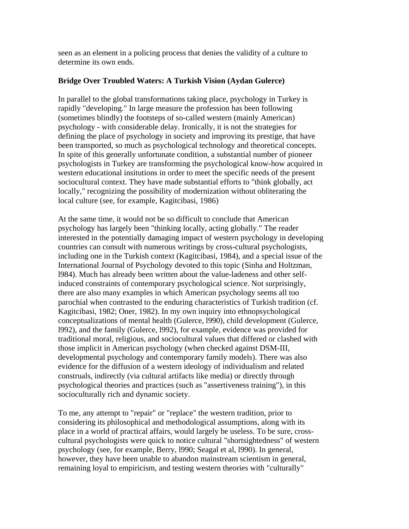seen as an element in a policing process that denies the validity of a culture to determine its own ends.

### **Bridge Over Troubled Waters: A Turkish Vision (Aydan Gulerce)**

In parallel to the global transformations taking place, psychology in Turkey is rapidly "developing." In large measure the profession has been following (sometimes blindly) the footsteps of so-called western (mainly American) psychology - with considerable delay. Ironically, it is not the strategies for defining the place of psychology in society and improving its prestige, that have been transported, so much as psychological technology and theoretical concepts. In spite of this generally unfortunate condition, a substantial number of pioneer psychologists in Turkey are transforming the psychological know-how acquired in western educational insitutions in order to meet the specific needs of the present sociocultural context. They have made substantial efforts to "think globally, act locally," recognizing the possibility of modernization without obliterating the local culture (see, for example, Kagitcibasi, 1986)

At the same time, it would not be so difficult to conclude that American psychology has largely been "thinking locally, acting globally." The reader interested in the potentially damaging impact of western psychology in developing countries can consult with numerous writings by cross-cultural psychologists, including one in the Turkish context (Kagitcibasi, 1984), and a special issue of the International Journal of Psychology devoted to this topic (Sinha and Holtzman, l984). Much has already been written about the value-ladeness and other selfinduced constraints of contemporary psychological science. Not surprisingly, there are also many examples in which American psychology seems all too parochial when contrasted to the enduring characteristics of Turkish tradition (cf. Kagitcibasi, 1982; Oner, 1982). In my own inquiry into ethnopsychological conceptualizations of mental health (Gulerce, l990), child development (Gulerce, l992), and the family (Gulerce, l992), for example, evidence was provided for traditional moral, religious, and sociocultural values that differed or clashed with those implicit in American psychology (when checked against DSM-III, developmental psychology and contemporary family models). There was also evidence for the diffusion of a western ideology of individualism and related construals, indirectly (via cultural artifacts like media) or directly through psychological theories and practices (such as "assertiveness training"), in this socioculturally rich and dynamic society.

To me, any attempt to "repair" or "replace" the western tradition, prior to considering its philosophical and methodological assumptions, along with its place in a world of practical affairs, would largely be useless. To be sure, crosscultural psychologists were quick to notice cultural "shortsightedness" of western psychology (see, for example, Berry, l990; Seagal et al, l990). In general, however, they have been unable to abandon mainstream scientism in general, remaining loyal to empiricism, and testing western theories with "culturally"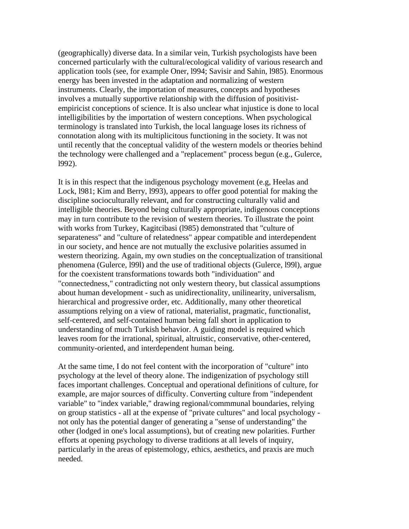(geographically) diverse data. In a similar vein, Turkish psychologists have been concerned particularly with the cultural/ecological validity of various research and application tools (see, for example Oner, l994; Savisir and Sahin, l985). Enormous energy has been invested in the adaptation and normalizing of western instruments. Clearly, the importation of measures, concepts and hypotheses involves a mutually supportive relationship with the diffusion of positivistempiricist conceptions of science. It is also unclear what injustice is done to local intelligibilities by the importation of western conceptions. When psychological terminology is translated into Turkish, the local language loses its richness of connotation along with its multiplicitous functioning in the society. It was not until recently that the conceptual validity of the western models or theories behind the technology were challenged and a "replacement" process begun (e.g., Gulerce, l992).

It is in this respect that the indigenous psychology movement (e.g, Heelas and Lock, l981; Kim and Berry, l993), appears to offer good potential for making the discipline socioculturally relevant, and for constructing culturally valid and intelligible theories. Beyond being culturally appropriate, indigenous conceptions may in turn contribute to the revision of western theories. To illustrate the point with works from Turkey, Kagitcibasi (l985) demonstrated that "culture of separateness" and "culture of relatedness" appear compatible and interdependent in our society, and hence are not mutually the exclusive polarities assumed in western theorizing. Again, my own studies on the conceptualization of transitional phenomena (Gulerce, l99l) and the use of traditional objects (Gulerce, l99l), argue for the coexistent transformations towards both "individuation" and "connectedness," contradicting not only western theory, but classical assumptions about human development - such as unidirectionality, unilinearity, universalism, hierarchical and progressive order, etc. Additionally, many other theoretical assumptions relying on a view of rational, materialist, pragmatic, functionalist, self-centered, and self-contained human being fall short in application to understanding of much Turkish behavior. A guiding model is required which leaves room for the irrational, spiritual, altruistic, conservative, other-centered, community-oriented, and interdependent human being.

At the same time, I do not feel content with the incorporation of "culture" into psychology at the level of theory alone. The indigenization of psychology still faces important challenges. Conceptual and operational definitions of culture, for example, are major sources of difficulty. Converting culture from "independent variable" to "index variable," drawing regional/commmunal boundaries, relying on group statistics - all at the expense of "private cultures" and local psychology not only has the potential danger of generating a "sense of understanding" the other (lodged in one's local assumptions), but of creating new polarities. Further efforts at opening psychology to diverse traditions at all levels of inquiry, particularly in the areas of epistemology, ethics, aesthetics, and praxis are much needed.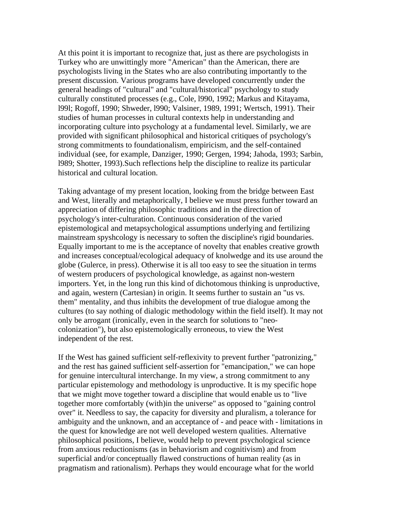At this point it is important to recognize that, just as there are psychologists in Turkey who are unwittingly more "American" than the American, there are psychologists living in the States who are also contributing importantly to the present discussion. Various programs have developed concurrently under the general headings of "cultural" and "cultural/historical" psychology to study culturally constituted processes (e.g., Cole, l990, 1992; Markus and Kitayama, l99l; Rogoff, 1990; Shweder, l990; Valsiner, 1989, 1991; Wertsch, 1991). Their studies of human processes in cultural contexts help in understanding and incorporating culture into psychology at a fundamental level. Similarly, we are provided with significant philosophical and historical critiques of psychology's strong commitments to foundationalism, empiricism, and the self-contained individual (see, for example, Danziger, 1990; Gergen, 1994; Jahoda, 1993; Sarbin, l989; Shotter, 1993).Such reflections help the discipline to realize its particular historical and cultural location.

Taking advantage of my present location, looking from the bridge between East and West, literally and metaphorically, I believe we must press further toward an appreciation of differing philosophic traditions and in the direction of psychology's inter-culturation. Continuous consideration of the varied epistemological and metapsychological assumptions underlying and fertilizing mainstream spyshcology is necessary to soften the discipline's rigid boundaries. Equally important to me is the acceptance of novelty that enables creative growth and increases conceptual/ecological adequacy of knolwedge and its use around the globe (Gulerce, in press). Otherwise it is all too easy to see the situation in terms of western producers of psychological knowledge, as against non-western importers. Yet, in the long run this kind of dichotomous thinking is unproductive, and again, western (Cartesian) in origin. It seems further to sustain an "us vs. them" mentality, and thus inhibits the development of true dialogue among the cultures (to say nothing of dialogic methodology within the field itself). It may not only be arrogant (ironically, even in the search for solutions to "neocolonization"), but also epistemologically erroneous, to view the West independent of the rest.

If the West has gained sufficient self-reflexivity to prevent further "patronizing," and the rest has gained sufficient self-assertion for "emancipation," we can hope for genuine intercultural interchange. In my view, a strong commitment to any particular epistemology and methodology is unproductive. It is my specific hope that we might move together toward a discipline that would enable us to "live together more comfortably (with)in the universe" as opposed to "gaining control over" it. Needless to say, the capacity for diversity and pluralism, a tolerance for ambiguity and the unknown, and an acceptance of - and peace with - limitations in the quest for knowledge are not well developed western qualities. Alternative philosophical positions, I believe, would help to prevent psychological science from anxious reductionisms (as in behaviorism and cognitivism) and from superficial and/or conceptually flawed constructions of human reality (as in pragmatism and rationalism). Perhaps they would encourage what for the world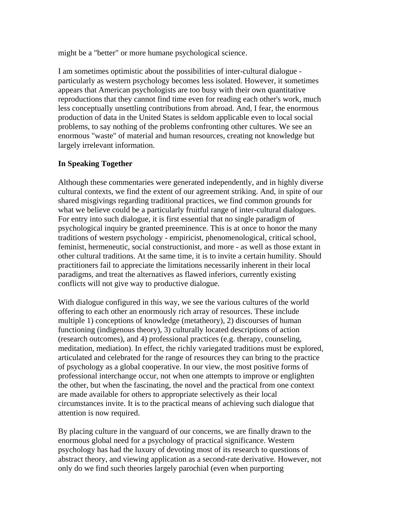might be a "better" or more humane psychological science.

I am sometimes optimistic about the possibilities of inter-cultural dialogue particularly as western psychology becomes less isolated. However, it sometimes appears that American psychologists are too busy with their own quantitative reproductions that they cannot find time even for reading each other's work, much less conceptually unsettling contributions from abroad. And, I fear, the enormous production of data in the United States is seldom applicable even to local social problems, to say nothing of the problems confronting other cultures. We see an enormous "waste" of material and human resources, creating not knowledge but largely irrelevant information.

## **In Speaking Together**

Although these commentaries were generated independently, and in highly diverse cultural contexts, we find the extent of our agreement striking. And, in spite of our shared misgivings regarding traditional practices, we find common grounds for what we believe could be a particularly fruitful range of inter-cultural dialogues. For entry into such dialogue, it is first essential that no single paradigm of psychological inquiry be granted preeminence. This is at once to honor the many traditions of western psychology - empiricist, phenomenological, critical school, feminist, hermeneutic, social constructionist, and more - as well as those extant in other cultural traditions. At the same time, it is to invite a certain humility. Should practitioners fail to appreciate the limitations necessarily inherent in their local paradigms, and treat the alternatives as flawed inferiors, currently existing conflicts will not give way to productive dialogue.

With dialogue configured in this way, we see the various cultures of the world offering to each other an enormously rich array of resources. These include multiple 1) conceptions of knowledge (metatheory), 2) discourses of human functioning (indigenous theory), 3) culturally located descriptions of action (research outcomes), and 4) professional practices (e.g. therapy, counseling, meditation, mediation). In effect, the richly variegated traditions must be explored, articulated and celebrated for the range of resources they can bring to the practice of psychology as a global cooperative. In our view, the most positive forms of professional interchange occur, not when one attempts to improve or englighten the other, but when the fascinating, the novel and the practical from one context are made available for others to appropriate selectively as their local circumstances invite. It is to the practical means of achieving such dialogue that attention is now required.

By placing culture in the vanguard of our concerns, we are finally drawn to the enormous global need for a psychology of practical significance. Western psychology has had the luxury of devoting most of its research to questions of abstract theory, and viewing application as a second-rate derivative. However, not only do we find such theories largely parochial (even when purporting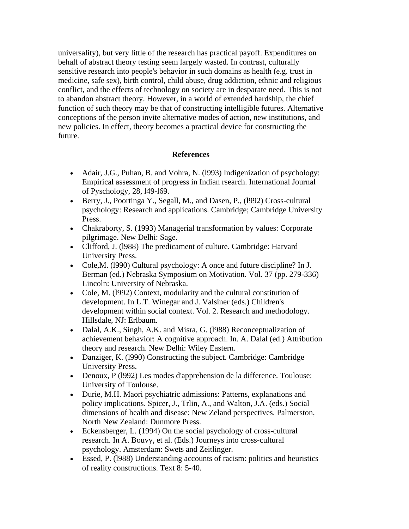universality), but very little of the research has practical payoff. Expenditures on behalf of abstract theory testing seem largely wasted. In contrast, culturally sensitive research into people's behavior in such domains as health (e.g. trust in medicine, safe sex), birth control, child abuse, drug addiction, ethnic and religious conflict, and the effects of technology on society are in desparate need. This is not to abandon abstract theory. However, in a world of extended hardship, the chief function of such theory may be that of constructing intelligible futures. Alternative conceptions of the person invite alternative modes of action, new institutions, and new policies. In effect, theory becomes a practical device for constructing the future.

#### **References**

- Adair, J.G., Puhan, B. and Vohra, N. (1993) Indigenization of psychology: Empirical assessment of progress in Indian rsearch. International Journal of Pyschology, 28, l49-l69.
- Berry, J., Poortinga Y., Segall, M., and Dasen, P., (l992) Cross-cultural psychology: Research and applications. Cambridge; Cambridge University Press.
- Chakraborty, S. (1993) Managerial transformation by values: Corporate pilgrimage. New Delhi: Sage.
- Clifford, J. (l988) The predicament of culture. Cambridge: Harvard University Press.
- Cole,M. (l990) Cultural psychology: A once and future discipline? In J. Berman (ed.) Nebraska Symposium on Motivation. Vol. 37 (pp. 279-336) Lincoln: University of Nebraska.
- Cole, M. (1992) Context, modularity and the cultural constitution of development. In L.T. Winegar and J. Valsiner (eds.) Children's development within social context. Vol. 2. Research and methodology. Hillsdale, NJ: Erlbaum.
- Dalal, A.K., Singh, A.K. and Misra, G. (l988) Reconceptualization of achievement behavior: A cognitive approach. In. A. Dalal (ed.) Attribution theory and research. New Delhi: Wiley Eastern.
- Danziger, K. (1990) Constructing the subject. Cambridge: Cambridge University Press.
- Denoux, P (l992) Les modes d'apprehension de la difference. Toulouse: University of Toulouse.
- Durie, M.H. Maori psychiatric admissions: Patterns, explanations and policy implications. Spicer, J., Trlin, A., and Walton, J.A. (eds.) Social dimensions of health and disease: New Zeland perspectives. Palmerston, North New Zealand: Dunmore Press.
- Eckensberger, L. (1994) On the social psychology of cross-cultural research. In A. Bouvy, et al. (Eds.) Journeys into cross-cultural psychology. Amsterdam: Swets and Zeitlinger.
- Essed, P. (l988) Understanding accounts of racism: politics and heuristics of reality constructions. Text 8: 5-40.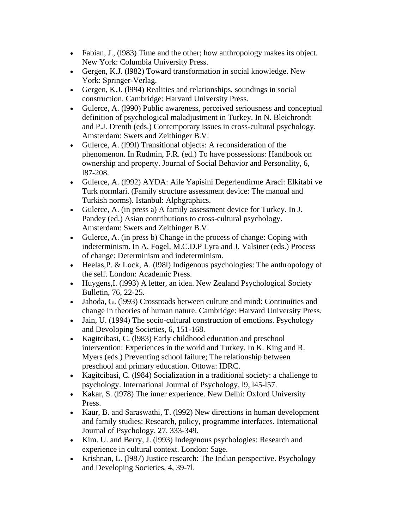- Fabian, J., (1983) Time and the other; how anthropology makes its object. New York: Columbia University Press.
- Gergen, K.J. (l982) Toward transformation in social knowledge. New York: Springer-Verlag.
- Gergen, K.J. (l994) Realities and relationships, soundings in social construction. Cambridge: Harvard University Press.
- Gulerce, A. (l990) Public awareness, perceived seriousness and conceptual definition of psychological maladjustment in Turkey. In N. Bleichrondt and P.J. Drenth (eds.) Contemporary issues in cross-cultural psychology. Amsterdam: Swets and Zeithinger B.V.
- Gulerce, A. (l99l) Transitional objects: A reconsideration of the phenomenon. In Rudmin, F.R. (ed.) To have possessions: Handbook on ownership and property. Journal of Social Behavior and Personality, 6, l87-208.
- Gulerce, A. (l992) AYDA: Aile Yapisini Degerlendirme Araci: Elkitabi ve Turk normlari. (Family structure assessment device: The manual and Turkish norms). Istanbul: Alphgraphics.
- Gulerce, A. (in press a) A family assessment device for Turkey. In J. Pandey (ed.) Asian contributions to cross-cultural psychology. Amsterdam: Swets and Zeithinger B.V.
- Gulerce, A. (in press b) Change in the process of change: Coping with indeterminism. In A. Fogel, M.C.D.P Lyra and J. Valsiner (eds.) Process of change: Determinism and indeterminism.
- Heelas, P. & Lock, A. (1981) Indigenous psychologies: The anthropology of the self. London: Academic Press.
- Huygens, I. (1993) A letter, an idea. New Zealand Psychological Society Bulletin, 76, 22-25.
- Jahoda, G. (1993) Crossroads between culture and mind: Continuities and change in theories of human nature. Cambridge: Harvard University Press.
- Jain, U. (1994) The socio-cultural construction of emotions. Psychology and Devoloping Societies, 6, 151-168.
- Kagitcibasi, C. (l983) Early childhood education and preschool intervention: Experiences in the world and Turkey. In K. King and R. Myers (eds.) Preventing school failure; The relationship between preschool and primary education. Ottowa: IDRC.
- Kagitcibasi, C. (l984) Socialization in a traditional society: a challenge to psychology. International Journal of Psychology, l9, l45-l57.
- Kakar, S. (1978) The inner experience. New Delhi: Oxford University Press.
- Kaur, B. and Saraswathi, T. (l992) New directions in human development and family studies: Research, policy, programme interfaces. International Journal of Psychology, 27, 333-349.
- Kim. U. and Berry, J. (1993) Indegenous psychologies: Research and experience in cultural context. London: Sage.
- Krishnan, L. (l987) Justice research: The Indian perspective. Psychology and Developing Societies, 4, 39-7l.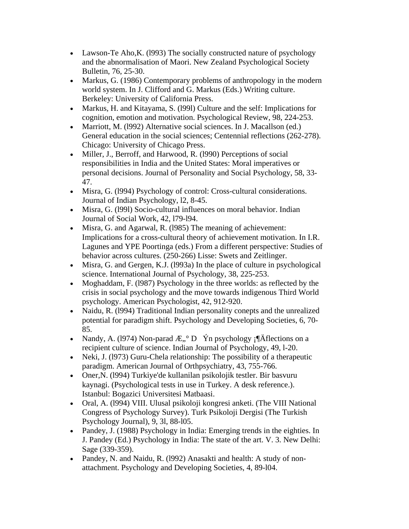- Lawson-Te Aho, K. (1993) The socially constructed nature of psychology and the abnormalisation of Maori. New Zealand Psychological Society Bulletin, 76, 25-30.
- Markus, G. (1986) Contemporary problems of anthropology in the modern world system. In J. Clifford and G. Markus (Eds.) Writing culture. Berkeley: University of California Press.
- Markus, H. and Kitayama, S. (l99l) Culture and the self: Implications for cognition, emotion and motivation. Psychological Review, 98, 224-253.
- Marriott, M. (1992) Alternative social sciences. In J. Macallson (ed.) General education in the social sciences; Centennial reflections (262-278). Chicago: University of Chicago Press.
- Miller, J., Berroff, and Harwood, R. (1990) Perceptions of social responsibilities in India and the United States: Moral imperatives or personal decisions. Journal of Personality and Social Psychology, 58, 33- 47.
- Misra, G. (1994) Psychology of control: Cross-cultural considerations. Journal of Indian Psychology, l2, 8-45.
- Misra, G. (l99l) Socio-cultural influences on moral behavior. Indian Journal of Social Work, 42, l79-l94.
- Misra, G. and Agarwal, R. (1985) The meaning of achievement: Implications for a cross-cultural theory of achievement motivation. In I.R. Lagunes and YPE Poortinga (eds.) From a different perspective: Studies of behavior across cultures. (250-266) Lisse: Swets and Zeitlinger.
- Misra, G. and Gergen, K.J. (1993a) In the place of culture in psychological science. International Journal of Psychology, 38, 225-253.
- Moghaddam, F. (l987) Psychology in the three worlds: as reflected by the crisis in social psychology and the move towards indigenous Third World psychology. American Psychologist, 42, 912-920.
- Naidu, R. (1994) Traditional Indian personality conepts and the unrealized potential for paradigm shift. Psychology and Developing Societies, 6, 70- 85.
- Nandy, A. (1974) Non-parad  $E,^\circ D$  Ýn psychology  $\check{A}$  flections on a recipient culture of science. Indian Journal of Psychology, 49, l-20.
- Neki, J. (1973) Guru-Chela relationship: The possibility of a therapeutic paradigm. American Journal of Orthpsychiatry, 43, 755-766.
- Oner,N. (l994) Turkiye'de kullanilan psikolojik testler. Bir basvuru kaynagi. (Psychological tests in use in Turkey. A desk reference.). Istanbul: Bogazici Universitesi Matbaasi.
- Oral, A. (l994) VIII. Ulusal psikoloji kongresi anketi. (The VIII National Congress of Psychology Survey). Turk Psikoloji Dergisi (The Turkish Psychology Journal), 9, 3l, 88-l05.
- Pandey, J. (1988) Psychology in India: Emerging trends in the eighties. In J. Pandey (Ed.) Psychology in India: The state of the art. V. 3. New Delhi: Sage (339-359).
- Pandey, N. and Naidu, R. (1992) Anasakti and health: A study of nonattachment. Psychology and Developing Societies, 4, 89-l04.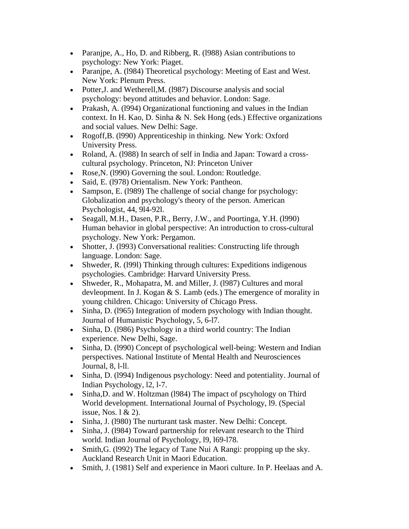- Paranjpe, A., Ho, D. and Ribberg, R. (1988) Asian contributions to psychology: New York: Piaget.
- Paranjpe, A. (1984) Theoretical psychology: Meeting of East and West. New York: Plenum Press.
- Potter, J. and Wetherell, M. (1987) Discourse analysis and social psychology: beyond attitudes and behavior. London: Sage.
- Prakash, A. (1994) Organizational functioning and values in the Indian context. In H. Kao, D. Sinha & N. Sek Hong (eds.) Effective organizations and social values. New Delhi: Sage.
- Rogoff, B. (1990) Apprenticeship in thinking. New York: Oxford University Press.
- Roland, A. (l988) In search of self in India and Japan: Toward a crosscultural psychology. Princeton, NJ: Princeton Univer
- Rose, N. (1990) Governing the soul. London: Routledge.
- Said, E. (1978) Orientalism. New York: Pantheon.
- Sampson, E. (1989) The challenge of social change for psychology: Globalization and psychology's theory of the person. American Psychologist, 44, 9l4-92l.
- Seagall, M.H., Dasen, P.R., Berry, J.W., and Poortinga, Y.H. (1990) Human behavior in global perspective: An introduction to cross-cultural psychology. New York: Pergamon.
- Shotter, J. (1993) Conversational realities: Constructing life through language. London: Sage.
- Shweder, R. (1991) Thinking through cultures: Expeditions indigenous psychologies. Cambridge: Harvard University Press.
- Shweder, R., Mohapatra, M. and Miller, J. (1987) Cultures and moral devleopment. In J. Kogan & S. Lamb (eds.) The emergence of morality in young children. Chicago: University of Chicago Press.
- Sinha, D. (1965) Integration of modern psychology with Indian thought. Journal of Humanistic Psychology, 5, 6-l7.
- Sinha, D. (1986) Psychology in a third world country: The Indian experience. New Delhi, Sage.
- Sinha, D. (1990) Concept of psychological well-being: Western and Indian perspectives. National Institute of Mental Health and Neurosciences Journal, 8, l-ll.
- Sinha, D. (1994) Indigenous psychology: Need and potentiality. Journal of Indian Psychology, l2, l-7.
- Sinha, D. and W. Holtzman (1984) The impact of pscyhology on Third World development. International Journal of Psychology, l9. (Special issue, Nos. l & 2).
- Sinha, J. (1980) The nurturant task master. New Delhi: Concept.
- Sinha, J. (1984) Toward partnership for relevant research to the Third world. Indian Journal of Psychology, l9, l69-l78.
- Smith, G. (1992) The legacy of Tane Nui A Rangi: propping up the sky. Auckland Research Unit in Maori Education.
- Smith, J. (1981) Self and experience in Maori culture. In P. Heelaas and A.